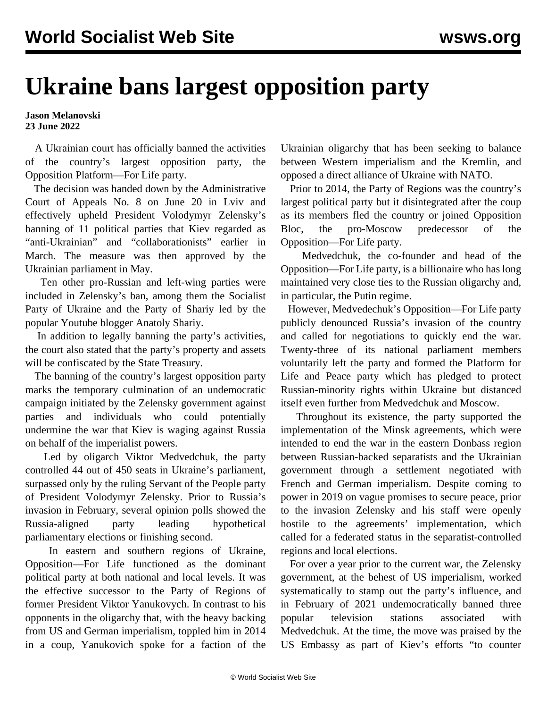## **Ukraine bans largest opposition party**

## **Jason Melanovski 23 June 2022**

 A Ukrainian court has officially banned the activities of the country's largest opposition party, the Opposition Platform—For Life party.

 The decision was handed down by the Administrative Court of Appeals No. 8 on June 20 in Lviv and effectively upheld President Volodymyr Zelensky's banning of 11 political parties that Kiev regarded as "anti-Ukrainian" and "collaborationists" earlier in March. The measure was then approved by the Ukrainian parliament in May.

 Ten other pro-Russian and left-wing parties were included in Zelensky's ban, among them the Socialist Party of Ukraine and the Party of Shariy led by the popular Youtube [blogger Anatoly Shariy.](/en/articles/2022/05/12/plrx-m12.html)

 In addition to legally banning the party's activities, the court also stated that the party's property and assets will be confiscated by the State Treasury.

 The banning of the country's largest opposition party marks the temporary culmination of an [undemocratic](/en/articles/2022/05/02/cfnf-m02.html) [campaign initiated by the Zelensky government a](/en/articles/2022/05/02/cfnf-m02.html)gainst parties and individuals who could potentially undermine the war that Kiev is waging against Russia on behalf of the imperialist powers.

 Led by oligarch Viktor Medvedchuk, the party controlled 44 out of 450 seats in Ukraine's parliament, surpassed only by the ruling Servant of the People party of President Volodymyr Zelensky. Prior to Russia's invasion in February, several opinion polls showed the Russia-aligned party leading hypothetical parliamentary elections or finishing second.

 In eastern and southern regions of Ukraine, Opposition—For Life functioned as the dominant political party at both national and local levels. It was the effective successor to the Party of Regions of former President Viktor Yanukovych. In contrast to his opponents in the oligarchy that, with the heavy backing from US and German imperialism, toppled him in 2014 in a coup, Yanukovich spoke for a faction of the

Ukrainian oligarchy that has been seeking to balance between Western imperialism and the Kremlin, and opposed a direct alliance of Ukraine with NATO.

 Prior to 2014, the Party of Regions was the country's largest political party but it disintegrated after the coup as its members fled the country or joined Opposition Bloc, the pro-Moscow predecessor of the Opposition—For Life party.

 Medvedchuk, the co-founder and head of the Opposition—For Life party, is a billionaire who has long maintained very close ties to the Russian oligarchy and, in particular, the Putin regime.

 However, Medvedechuk's Opposition—For Life party publicly denounced Russia's invasion of the country and called for negotiations to quickly end the war. Twenty-three of its national parliament members voluntarily left the party and formed the Platform for Life and Peace party which has pledged to protect Russian-minority rights within Ukraine but distanced itself even further from Medvedchuk and Moscow.

 Throughout its existence, the party supported the implementation of the Minsk agreements, which were intended to end the war in the eastern Donbass region between Russian-backed separatists and the Ukrainian government through a settlement negotiated with French and German imperialism. Despite coming to power in 2019 on vague promises to secure peace, prior to the invasion Zelensky and his staff were openly hostile to the agreements' implementation, which called for a federated status in the separatist-controlled regions and local elections.

 For over a year prior to the current war, the Zelensky government, at the behest of US imperialism, worked systematically to stamp out the party's influence, and in February of 2021 undemocratically banned three popular television stations associated with Medvedchuk. At the time, the move was praised by the US Embassy as part of Kiev's efforts "to counter